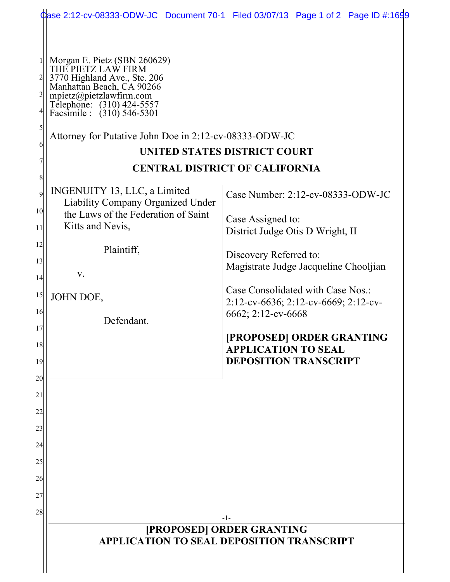|                                   |                                                                                                                                                                                                                                                                 | Case 2:12-cv-08333-ODW-JC Document 70-1 Filed 03/07/13 Page 1 of 2 Page ID #:1699               |  |
|-----------------------------------|-----------------------------------------------------------------------------------------------------------------------------------------------------------------------------------------------------------------------------------------------------------------|-------------------------------------------------------------------------------------------------|--|
| $\frac{3}{2}$<br>6                | Morgan E. Pietz (SBN 260629)<br>THE PIETZ LAW FIRM<br>3770 Highland Ave., Ste. 206<br>Manhattan Beach, CA 90266<br>mpietz@pietzlawfirm.com<br>Telephone: (310) 424-5557<br>Facsimile : (310) 546-5301<br>Attorney for Putative John Doe in 2:12-cv-08333-ODW-JC | <b>UNITED STATES DISTRICT COURT</b>                                                             |  |
|                                   | <b>CENTRAL DISTRICT OF CALIFORNIA</b>                                                                                                                                                                                                                           |                                                                                                 |  |
| $\overline{9}$<br>10 <sup>1</sup> | INGENUITY 13, LLC, a Limited<br><b>Liability Company Organized Under</b><br>the Laws of the Federation of Saint                                                                                                                                                 | Case Number: 2:12-cv-08333-ODW-JC<br>Case Assigned to:                                          |  |
| 11                                | Kitts and Nevis,                                                                                                                                                                                                                                                | District Judge Otis D Wright, II                                                                |  |
| 12<br>13<br>14                    | Plaintiff,<br>V.                                                                                                                                                                                                                                                | Discovery Referred to:<br>Magistrate Judge Jacqueline Chooljian                                 |  |
| 15<br>16                          | JOHN DOE,<br>Defendant.                                                                                                                                                                                                                                         | Case Consolidated with Case Nos.:<br>2:12-cv-6636; 2:12-cv-6669; 2:12-cv-<br>6662; 2:12-cv-6668 |  |
| 17<br>18<br>19                    |                                                                                                                                                                                                                                                                 | [PROPOSED] ORDER GRANTING<br><b>APPLICATION TO SEAL</b><br><b>DEPOSITION TRANSCRIPT</b>         |  |
| 20<br>21<br>22                    |                                                                                                                                                                                                                                                                 |                                                                                                 |  |
| 23<br>24                          |                                                                                                                                                                                                                                                                 |                                                                                                 |  |
| 25<br>26<br>27                    |                                                                                                                                                                                                                                                                 |                                                                                                 |  |
| 28                                |                                                                                                                                                                                                                                                                 |                                                                                                 |  |
|                                   | $-1-$<br>[PROPOSED] ORDER GRANTING<br><b>APPLICATION TO SEAL DEPOSITION TRANSCRIPT</b>                                                                                                                                                                          |                                                                                                 |  |